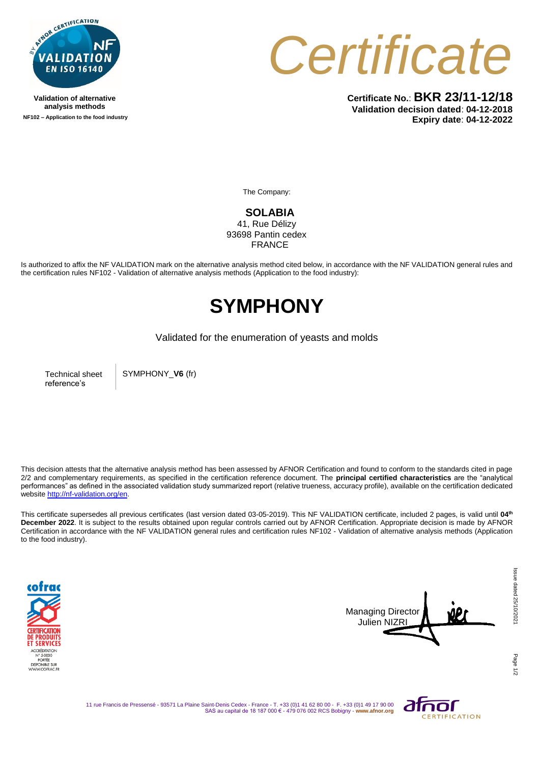

**Validation of alternative analysis methods NF102 – Application to the food industry** *Certificate*

**Certificate No.**: **BKR 23/11-12/18 Validation decision dated**: **04-12-2018 Expiry date**: **04-12-2022**

The Company:

**SOLABIA**  41, Rue Délizy 93698 Pantin cedex FRANCE

Is authorized to affix the NF VALIDATION mark on the alternative analysis method cited below, in accordance with the NF VALIDATION general rules and the certification rules NF102 - Validation of alternative analysis methods (Application to the food industry):

## **SYMPHONY**

Validated for the enumeration of yeasts and molds

Technical sheet reference's

SYMPHONY\_**V6** (fr)

This decision attests that the alternative analysis method has been assessed by AFNOR Certification and found to conform to the standards cited in page 2/2 and complementary requirements, as specified in the certification reference document. The **principal certified characteristics** are the "analytical performances" as defined in the associated validation study summarized report (relative trueness, accuracy profile), available on the certification dedicated websit[e http://nf-validation.org/en.](http://nf-validation.org/en)

This certificate supersedes all previous certificates (last version dated 03-05-2019). This NF VALIDATION certificate, included 2 pages, is valid until **04th December 2022**. It is subject to the results obtained upon regular controls carried out by AFNOR Certification. Appropriate decision is made by AFNOR Certification in accordance with the NF VALIDATION general rules and certification rules NF102 - Validation of alternative analysis methods (Application to the food industry).





Page

11 rue Francis de Pressensé - 93571 La Plaine Saint-Denis Cedex - France - T. +33 (0)1 41 62 80 00 - F. +33 (0)1 49 17 90 00 SAS au capital de 18 187 000 € - 479 076 002 RCS Bobigny - **www.afnor.org**